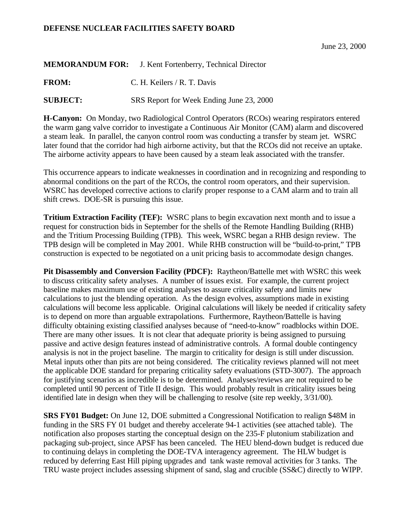## **DEFENSE NUCLEAR FACILITIES SAFETY BOARD**

June 23, 2000

## **MEMORANDUM FOR:** J. Kent Fortenberry, Technical Director

FROM: C. H. Keilers / R. T. Davis

**SUBJECT:** SRS Report for Week Ending June 23, 2000

**H-Canyon:** On Monday, two Radiological Control Operators (RCOs) wearing respirators entered the warm gang valve corridor to investigate a Continuous Air Monitor (CAM) alarm and discovered a steam leak. In parallel, the canyon control room was conducting a transfer by steam jet. WSRC later found that the corridor had high airborne activity, but that the RCOs did not receive an uptake. The airborne activity appears to have been caused by a steam leak associated with the transfer.

This occurrence appears to indicate weaknesses in coordination and in recognizing and responding to abnormal conditions on the part of the RCOs, the control room operators, and their supervision. WSRC has developed corrective actions to clarify proper response to a CAM alarm and to train all shift crews. DOE-SR is pursuing this issue.

**Tritium Extraction Facility (TEF):** WSRC plans to begin excavation next month and to issue a request for construction bids in September for the shells of the Remote Handling Building (RHB) and the Tritium Processing Building (TPB). This week, WSRC began a RHB design review. The TPB design will be completed in May 2001. While RHB construction will be "build-to-print," TPB construction is expected to be negotiated on a unit pricing basis to accommodate design changes.

**Pit Disassembly and Conversion Facility (PDCF):** Raytheon/Battelle met with WSRC this week to discuss criticality safety analyses. A number of issues exist. For example, the current project baseline makes maximum use of existing analyses to assure criticality safety and limits new calculations to just the blending operation. As the design evolves, assumptions made in existing calculations will become less applicable. Original calculations will likely be needed if criticality safety is to depend on more than arguable extrapolations. Furthermore, Raytheon/Battelle is having difficulty obtaining existing classified analyses because of "need-to-know" roadblocks within DOE. There are many other issues. It is not clear that adequate priority is being assigned to pursuing passive and active design features instead of administrative controls. A formal double contingency analysis is not in the project baseline. The margin to criticality for design is still under discussion. Metal inputs other than pits are not being considered. The criticality reviews planned will not meet the applicable DOE standard for preparing criticality safety evaluations (STD-3007). The approach for justifying scenarios as incredible is to be determined. Analyses/reviews are not required to be completed until 90 percent of Title II design. This would probably result in criticality issues being identified late in design when they will be challenging to resolve (site rep weekly, 3/31/00).

**SRS FY01 Budget:** On June 12, DOE submitted a Congressional Notification to realign \$48M in funding in the SRS FY 01 budget and thereby accelerate 94-1 activities (see attached table). The notification also proposes starting the conceptual design on the 235-F plutonium stabilization and packaging sub-project, since APSF has been canceled. The HEU blend-down budget is reduced due to continuing delays in completing the DOE-TVA interagency agreement. The HLW budget is reduced by deferring East Hill piping upgrades and tank waste removal activities for 3 tanks. The TRU waste project includes assessing shipment of sand, slag and crucible (SS&C) directly to WIPP.